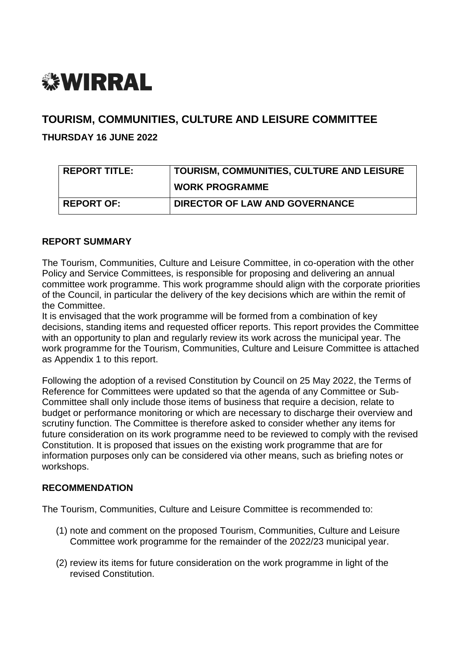# *<b>WIRRAL*

# **TOURISM, COMMUNITIES, CULTURE AND LEISURE COMMITTEE**

# **THURSDAY 16 JUNE 2022**

| <b>REPORT TITLE:</b> | TOURISM, COMMUNITIES, CULTURE AND LEISURE |
|----------------------|-------------------------------------------|
|                      | <b>WORK PROGRAMME</b>                     |
| <b>REPORT OF:</b>    | <b>DIRECTOR OF LAW AND GOVERNANCE</b>     |

#### **REPORT SUMMARY**

The Tourism, Communities, Culture and Leisure Committee, in co-operation with the other Policy and Service Committees, is responsible for proposing and delivering an annual committee work programme. This work programme should align with the corporate priorities of the Council, in particular the delivery of the key decisions which are within the remit of the Committee.

It is envisaged that the work programme will be formed from a combination of key decisions, standing items and requested officer reports. This report provides the Committee with an opportunity to plan and regularly review its work across the municipal year. The work programme for the Tourism, Communities, Culture and Leisure Committee is attached as Appendix 1 to this report.

Following the adoption of a revised Constitution by Council on 25 May 2022, the Terms of Reference for Committees were updated so that the agenda of any Committee or Sub-Committee shall only include those items of business that require a decision, relate to budget or performance monitoring or which are necessary to discharge their overview and scrutiny function. The Committee is therefore asked to consider whether any items for future consideration on its work programme need to be reviewed to comply with the revised Constitution. It is proposed that issues on the existing work programme that are for information purposes only can be considered via other means, such as briefing notes or workshops.

# **RECOMMENDATION**

The Tourism, Communities, Culture and Leisure Committee is recommended to:

- (1) note and comment on the proposed Tourism, Communities, Culture and Leisure Committee work programme for the remainder of the 2022/23 municipal year.
- (2) review its items for future consideration on the work programme in light of the revised Constitution.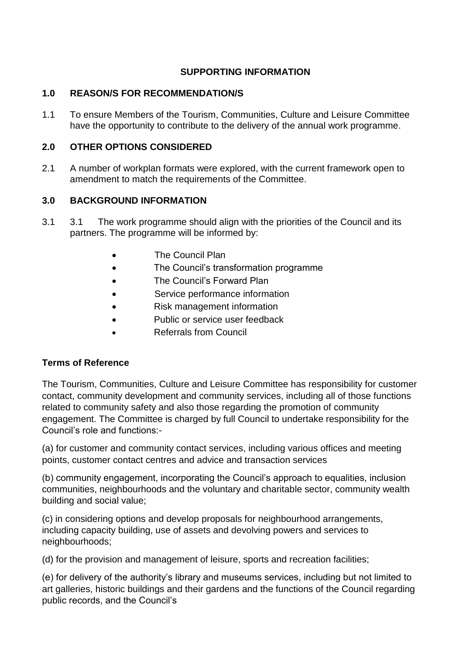# **SUPPORTING INFORMATION**

# **1.0 REASON/S FOR RECOMMENDATION/S**

1.1 To ensure Members of the Tourism, Communities, Culture and Leisure Committee have the opportunity to contribute to the delivery of the annual work programme.

#### **2.0 OTHER OPTIONS CONSIDERED**

2.1 A number of workplan formats were explored, with the current framework open to amendment to match the requirements of the Committee.

# **3.0 BACKGROUND INFORMATION**

- 3.1 3.1 The work programme should align with the priorities of the Council and its partners. The programme will be informed by:
	- The Council Plan
	- The Council's transformation programme
	- The Council's Forward Plan
	- Service performance information
	- Risk management information
	- Public or service user feedback
	- Referrals from Council

#### **Terms of Reference**

The Tourism, Communities, Culture and Leisure Committee has responsibility for customer contact, community development and community services, including all of those functions related to community safety and also those regarding the promotion of community engagement. The Committee is charged by full Council to undertake responsibility for the Council's role and functions:-

(a) for customer and community contact services, including various offices and meeting points, customer contact centres and advice and transaction services

(b) community engagement, incorporating the Council's approach to equalities, inclusion communities, neighbourhoods and the voluntary and charitable sector, community wealth building and social value;

(c) in considering options and develop proposals for neighbourhood arrangements, including capacity building, use of assets and devolving powers and services to neighbourhoods;

(d) for the provision and management of leisure, sports and recreation facilities;

(e) for delivery of the authority's library and museums services, including but not limited to art galleries, historic buildings and their gardens and the functions of the Council regarding public records, and the Council's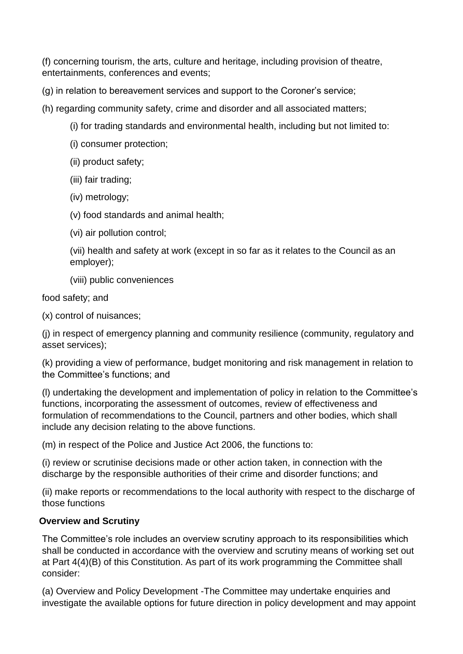(f) concerning tourism, the arts, culture and heritage, including provision of theatre, entertainments, conferences and events;

- (g) in relation to bereavement services and support to the Coroner's service;
- (h) regarding community safety, crime and disorder and all associated matters;
	- (i) for trading standards and environmental health, including but not limited to:
	- (i) consumer protection;
	- (ii) product safety;
	- (iii) fair trading;
	- (iv) metrology;
	- (v) food standards and animal health;
	- (vi) air pollution control;
	- (vii) health and safety at work (except in so far as it relates to the Council as an employer);
	- (viii) public conveniences

food safety; and

(x) control of nuisances;

(j) in respect of emergency planning and community resilience (community, regulatory and asset services);

(k) providing a view of performance, budget monitoring and risk management in relation to the Committee's functions; and

(l) undertaking the development and implementation of policy in relation to the Committee's functions, incorporating the assessment of outcomes, review of effectiveness and formulation of recommendations to the Council, partners and other bodies, which shall include any decision relating to the above functions.

(m) in respect of the Police and Justice Act 2006, the functions to:

(i) review or scrutinise decisions made or other action taken, in connection with the discharge by the responsible authorities of their crime and disorder functions; and

(ii) make reports or recommendations to the local authority with respect to the discharge of those functions

# **Overview and Scrutiny**

The Committee's role includes an overview scrutiny approach to its responsibilities which shall be conducted in accordance with the overview and scrutiny means of working set out at Part 4(4)(B) of this Constitution. As part of its work programming the Committee shall consider:

(a) Overview and Policy Development -The Committee may undertake enquiries and investigate the available options for future direction in policy development and may appoint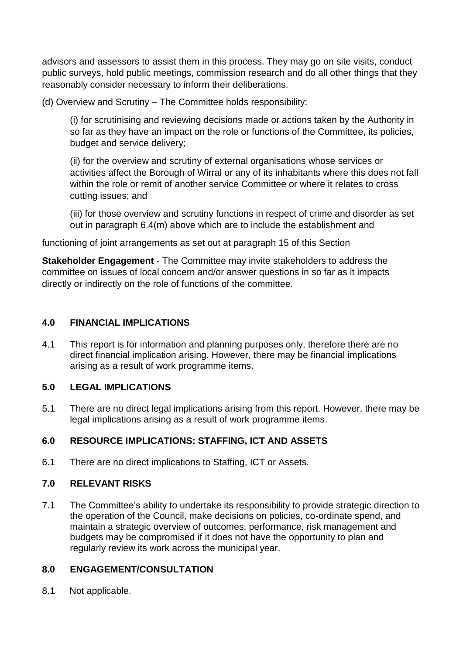advisors and assessors to assist them in this process. They may go on site visits, conduct public surveys, hold public meetings, commission research and do all other things that they reasonably consider necessary to inform their deliberations.

(d) Overview and Scrutiny – The Committee holds responsibility:

(i) for scrutinising and reviewing decisions made or actions taken by the Authority in so far as they have an impact on the role or functions of the Committee, its policies, budget and service delivery;

(ii) for the overview and scrutiny of external organisations whose services or activities affect the Borough of Wirral or any of its inhabitants where this does not fall within the role or remit of another service Committee or where it relates to cross cutting issues; and

(iii) for those overview and scrutiny functions in respect of crime and disorder as set out in paragraph 6.4(m) above which are to include the establishment and

functioning of joint arrangements as set out at paragraph 15 of this Section

**Stakeholder Engagement** - The Committee may invite stakeholders to address the committee on issues of local concern and/or answer questions in so far as it impacts directly or indirectly on the role of functions of the committee.

# **4.0 FINANCIAL IMPLICATIONS**

4.1 This report is for information and planning purposes only, therefore there are no direct financial implication arising. However, there may be financial implications arising as a result of work programme items.

# **5.0 LEGAL IMPLICATIONS**

5.1 There are no direct legal implications arising from this report. However, there may be legal implications arising as a result of work programme items.

# **6.0 RESOURCE IMPLICATIONS: STAFFING, ICT AND ASSETS**

6.1 There are no direct implications to Staffing, ICT or Assets.

# **7.0 RELEVANT RISKS**

7.1 The Committee's ability to undertake its responsibility to provide strategic direction to the operation of the Council, make decisions on policies, co-ordinate spend, and maintain a strategic overview of outcomes, performance, risk management and budgets may be compromised if it does not have the opportunity to plan and regularly review its work across the municipal year.

# **8.0 ENGAGEMENT/CONSULTATION**

8.1 Not applicable.